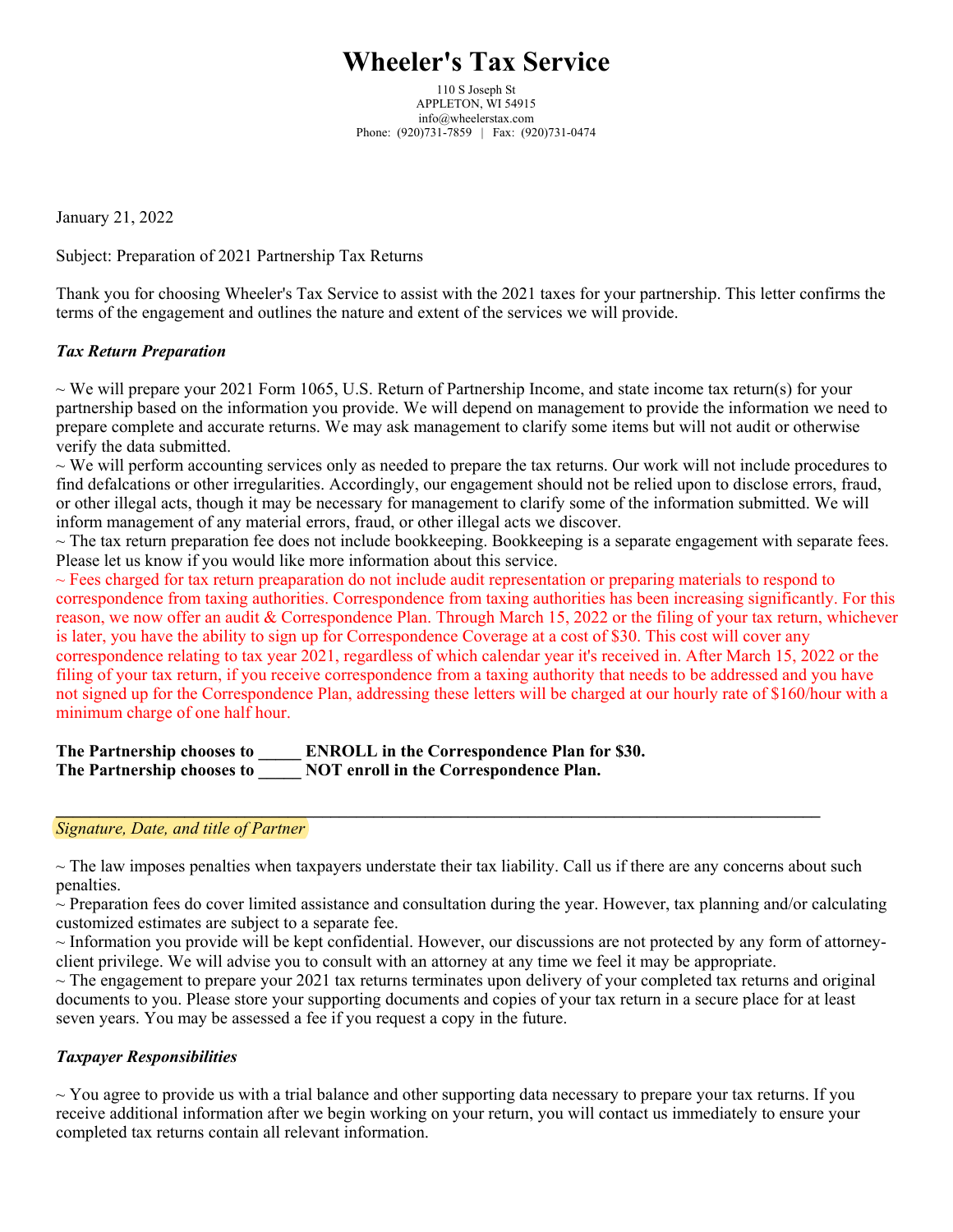# **Wheeler's Tax Service**

110 S Joseph St APPLETON, WI 54915 info@wheelerstax.com Phone: (920)731-7859 | Fax: (920)731-0474

January 21, 2022

Subject: Preparation of 2021 Partnership Tax Returns

Thank you for choosing Wheeler's Tax Service to assist with the 2021 taxes for your partnership. This letter confirms the terms of the engagement and outlines the nature and extent of the services we will provide.

## *Tax Return Preparation*

 $\sim$  We will prepare your 2021 Form 1065, U.S. Return of Partnership Income, and state income tax return(s) for your partnership based on the information you provide. We will depend on management to provide the information we need to prepare complete and accurate returns. We may ask management to clarify some items but will not audit or otherwise verify the data submitted.

 $\sim$  We will perform accounting services only as needed to prepare the tax returns. Our work will not include procedures to find defalcations or other irregularities. Accordingly, our engagement should not be relied upon to disclose errors, fraud, or other illegal acts, though it may be necessary for management to clarify some of the information submitted. We will inform management of any material errors, fraud, or other illegal acts we discover.

 $\sim$  The tax return preparation fee does not include bookkeeping. Bookkeeping is a separate engagement with separate fees. Please let us know if you would like more information about this service.

 $\sim$  Fees charged for tax return preaparation do not include audit representation or preparing materials to respond to correspondence from taxing authorities. Correspondence from taxing authorities has been increasing significantly. For this reason, we now offer an audit & Correspondence Plan. Through March 15, 2022 or the filing of your tax return, whichever is later, you have the ability to sign up for Correspondence Coverage at a cost of \$30. This cost will cover any correspondence relating to tax year 2021, regardless of which calendar year it's received in. After March 15, 2022 or the filing of your tax return, if you receive correspondence from a taxing authority that needs to be addressed and you have not signed up for the Correspondence Plan, addressing these letters will be charged at our hourly rate of \$160/hour with a minimum charge of one half hour.

**The Partnership chooses to \_\_\_\_\_ ENROLL in the Correspondence Plan for \$30. The Partnership chooses to \_\_\_\_\_ NOT enroll in the Correspondence Plan.**

#### *Signature, Date, and title of Partner*

 $\sim$  The law imposes penalties when taxpayers understate their tax liability. Call us if there are any concerns about such penalties.

**\_\_\_\_\_\_\_\_\_\_\_\_\_\_\_\_\_\_\_\_\_\_\_\_\_\_\_\_\_\_\_\_\_\_\_\_\_\_\_\_\_\_\_\_\_\_\_\_\_\_\_\_\_\_\_\_\_\_\_\_\_\_\_\_\_\_\_\_\_\_\_\_\_\_\_\_\_\_\_\_\_\_\_\_\_\_\_\_\_**

 $\sim$  Preparation fees do cover limited assistance and consultation during the year. However, tax planning and/or calculating customized estimates are subject to a separate fee.

~ Information you provide will be kept confidential. However, our discussions are not protected by any form of attorneyclient privilege. We will advise you to consult with an attorney at any time we feel it may be appropriate.

 $\sim$  The engagement to prepare your 2021 tax returns terminates upon delivery of your completed tax returns and original documents to you. Please store your supporting documents and copies of your tax return in a secure place for at least seven years. You may be assessed a fee if you request a copy in the future.

### *Taxpayer Responsibilities*

 $\sim$  You agree to provide us with a trial balance and other supporting data necessary to prepare your tax returns. If you receive additional information after we begin working on your return, you will contact us immediately to ensure your completed tax returns contain all relevant information.